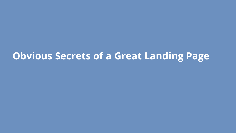### **Obvious Secrets of a Great Landing Page**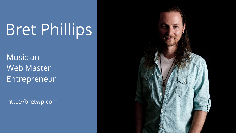# Bret Phillips

Musician Web Master Entrepreneur

http://bretwp.com

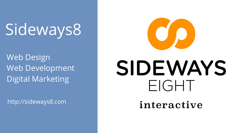# Sideways8

Web Design Web Development Digital Marketing

http://sideways8.com



# SIDEWAYS FIGHT

interactive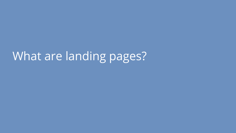# What are landing pages?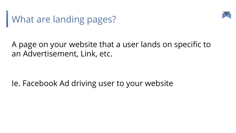



#### A page on your website that a user lands on specific to an Advertisement, Link, etc.

Ie. Facebook Ad driving user to your website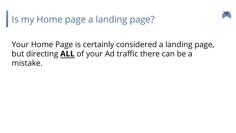

## Is my Home page a landing page?

Your Home Page is certainly considered a landing page, but directing **ALL** of your Ad traffic there can be a mistake.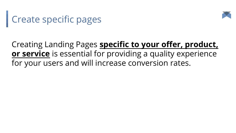

## Create specific pages

#### Creating Landing Pages **specific to your offer, product, or service** is essential for providing a quality experience for your users and will increase conversion rates.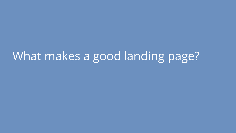## What makes a good landing page?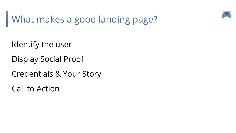

What makes a good landing page?

Identify the user

Display Social Proof

Credentials & Your Story

Call to Action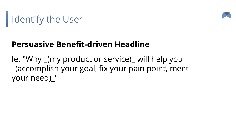

## Identify the User

#### **Persuasive Benefit-driven Headline**

Ie. "Why \_(my product or service)\_ will help you \_(accomplish your goal, fix your pain point, meet your need)\_"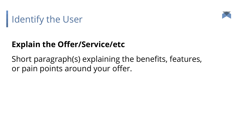



### **Explain the Offer/Service/etc**

Short paragraph(s) explaining the benefits, features, or pain points around your offer.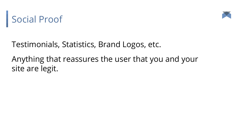



Testimonials, Statistics, Brand Logos, etc.

Anything that reassures the user that you and your site are legit.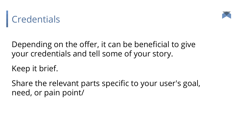



Depending on the offer, it can be beneficial to give your credentials and tell some of your story.

Keep it brief.

Share the relevant parts specific to your user's goal, need, or pain point/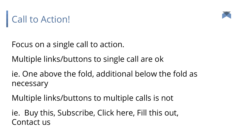



Focus on a single call to action.

Multiple links/buttons to single call are ok

ie. One above the fold, additional below the fold as necessary

Multiple links/buttons to multiple calls is not

ie. Buy this, Subscribe, Click here, Fill this out, Contact us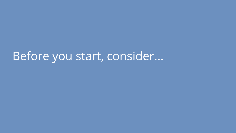## Before you start, consider...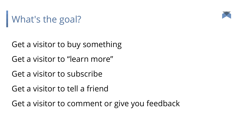# What's the goal?



Get a visitor to buy something Get a visitor to "learn more"

Get a visitor to subscribe

Get a visitor to tell a friend

Get a visitor to comment or give you feedback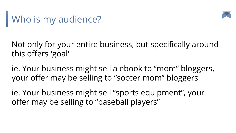



Not only for your entire business, but specifically around this offers 'goal'

ie. Your business might sell a ebook to "mom" bloggers, your offer may be selling to "soccer mom" bloggers

ie. Your business might sell "sports equipment", your offer may be selling to "baseball players"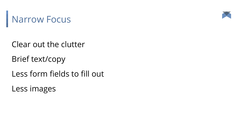



Clear out the clutter

Brief text/copy

Less form fields to fill out

Less images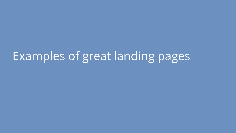# Examples of great landing pages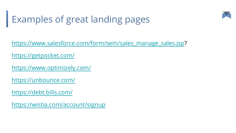

## Examples of great landing pages

[https://www.salesforce.com/form/sem/sales\\_manage\\_sales.jsp?](https://www.salesforce.com/form/sem/sales_manage_sales.jsp)

<https://getpocket.com/>

<https://www.optimizely.com/>

<https://unbounce.com/>

<https://debt.bills.com/>

<https://wistia.com/account/signup>